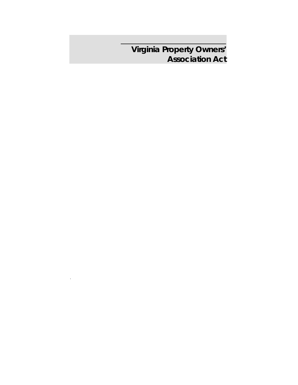**Virginia Property Owners' Association Act** 

.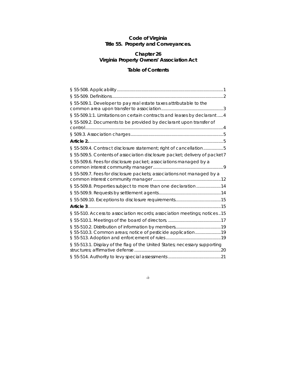## **Code of Virginia Title 55. Property and Conveyances.**

## **Chapter 26 Virginia Property Owners' Association Act**

# **Table of Contents**

| § 55-509.1. Developer to pay real estate taxes attributable to the          |
|-----------------------------------------------------------------------------|
| § 55-509.1:1. Limitations on certain contracts and leases by declarant 4    |
| § 55-509.2. Documents to be provided by declarant upon transfer of          |
|                                                                             |
|                                                                             |
| § 55-509.4. Contract disclosure statement; right of cancellation5           |
| § 55-509.5. Contents of association disclosure packet; delivery of packet 7 |
| § 55-509.6. Fees for disclosure packet; associations managed by a           |
| § 55-509.7. Fees for disclosure packets; associations not managed by a      |
| § 55-509.8. Properties subject to more than one declaration14               |
|                                                                             |
|                                                                             |
|                                                                             |
| § 55-510. Access to association records; association meetings; notices 15   |
|                                                                             |
|                                                                             |
| § 55-510.3. Common areas; notice of pesticide application19                 |
| § 55-513.1. Display of the flag of the United States; necessary supporting  |
|                                                                             |

**-**i-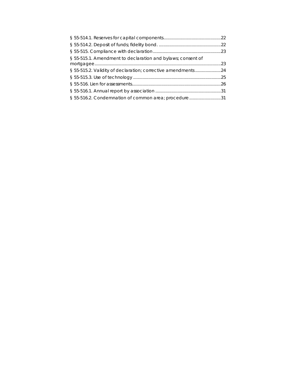| § 55-515.1. Amendment to declaration and bylaws; consent of  |  |
|--------------------------------------------------------------|--|
|                                                              |  |
| § 55-515.2. Validity of declaration; corrective amendments24 |  |
|                                                              |  |
|                                                              |  |
|                                                              |  |
| § 55-516.2. Condemnation of common area; procedure31         |  |
|                                                              |  |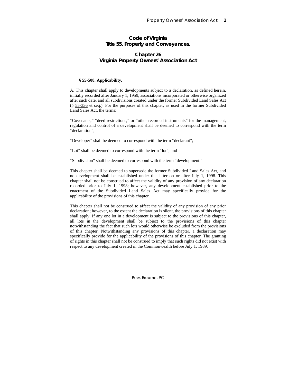## **Code of Virginia Title 55. Property and Conveyances.**

## **Chapter 26 Virginia Property Owners' Association Act**

## **§ 55-508. Applicability.**

A. This chapter shall apply to developments subject to a declaration, as defined herein, initially recorded after January 1, 1959, associations incorporated or otherwise organized after such date, and all subdivisions created under the former Subdivided Land Sales Act (§ 55-336 et seq.). For the purposes of this chapter, as used in the former Subdivided Land Sales Act, the terms:

"Covenants," "deed restrictions," or "other recorded instruments" for the management, regulation and control of a development shall be deemed to correspond with the term "declaration";

"Developer" shall be deemed to correspond with the term "declarant";

"Lot" shall be deemed to correspond with the term "lot"; and

"Subdivision" shall be deemed to correspond with the term "development."

This chapter shall be deemed to supersede the former Subdivided Land Sales Act, and no development shall be established under the latter on or after July 1, 1998. This chapter shall not be construed to affect the validity of any provision of any declaration recorded prior to July 1, 1998; however, any development established prior to the enactment of the Subdivided Land Sales Act may specifically provide for the applicability of the provisions of this chapter.

This chapter shall not be construed to affect the validity of any provision of any prior declaration; however, to the extent the declaration is silent, the provisions of this chapter shall apply. If any one lot in a development is subject to the provisions of this chapter, all lots in the development shall be subject to the provisions of this chapter notwithstanding the fact that such lots would otherwise be excluded from the provisions of this chapter. Notwithstanding any provisions of this chapter, a declaration may specifically provide for the applicability of the provisions of this chapter. The granting of rights in this chapter shall not be construed to imply that such rights did not exist with respect to any development created in the Commonwealth before July 1, 1989.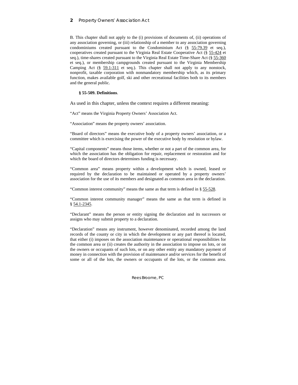## **2** Property Owners' Association Act

B. This chapter shall not apply to the (i) provisions of documents of, (ii) operations of any association governing, or (iii) relationship of a member to any association governing condominiums created pursuant to the Condominium Act (§ 55-79.39 et seq.), cooperatives created pursuant to the Virginia Real Estate Cooperative Act (§ 55-424 et seq.), time-shares created pursuant to the Virginia Real Estate Time-Share Act (§ 55-360 et seq.), or membership campgrounds created pursuant to the Virginia Membership Camping Act (§ 59.1-311 et seq.). This chapter shall not apply to any nonstock, nonprofit, taxable corporation with nonmandatory membership which, as its primary function, makes available golf, ski and other recreational facilities both to its members and the general public.

## **§ 55-509. Definitions**.

As used in this chapter, unless the context requires a different meaning:

"Act" means the Virginia Property Owners' Association Act.

"Association" means the property owners' association.

"Board of directors" means the executive body of a property owners' association, or a committee which is exercising the power of the executive body by resolution or bylaw.

"Capital components" means those items, whether or not a part of the common area, for which the association has the obligation for repair, replacement or restoration and for which the board of directors determines funding is necessary.

"Common area" means property within a development which is owned, leased or required by the declaration to be maintained or operated by a property owners' association for the use of its members and designated as common area in the declaration.

"Common interest community" means the same as that term is defined in § 55-528.

"Common interest community manager" means the same as that term is defined in § 54.1-2345.

"Declarant" means the person or entity signing the declaration and its successors or assigns who may submit property to a declaration.

"Declaration" means any instrument, however denominated, recorded among the land records of the county or city in which the development or any part thereof is located, that either (i) imposes on the association maintenance or operational responsibilities for the common area or (ii) creates the authority in the association to impose on lots, or on the owners or occupants of such lots, or on any other entity any mandatory payment of money in connection with the provision of maintenance and/or services for the benefit of some or all of the lots, the owners or occupants of the lots, or the common area.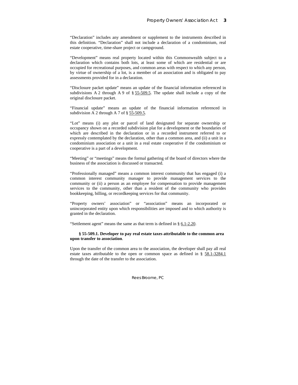"Declaration" includes any amendment or supplement to the instruments described in this definition. "Declaration" shall not include a declaration of a condominium, real estate cooperative, time-share project or campground.

"Development" means real property located within this Commonwealth subject to a declaration which contains both lots, at least some of which are residential or are occupied for recreational purposes, and common areas with respect to which any person, by virtue of ownership of a lot, is a member of an association and is obligated to pay assessments provided for in a declaration.

"Disclosure packet update" means an update of the financial information referenced in subdivisions A 2 through A 9 of § 55-509.5. The update shall include a copy of the original disclosure packet.

"Financial update" means an update of the financial information referenced in subdivision A 2 through A 7 of § 55-509.5.

"Lot" means (i) any plot or parcel of land designated for separate ownership or occupancy shown on a recorded subdivision plat for a development or the boundaries of which are described in the declaration or in a recorded instrument referred to or expressly contemplated by the declaration, other than a common area, and (ii) a unit in a condominium association or a unit in a real estate cooperative if the condominium or cooperative is a part of a development.

"Meeting" or "meetings" means the formal gathering of the board of directors where the business of the association is discussed or transacted.

"Professionally managed" means a common interest community that has engaged (i) a common interest community manager to provide management services to the community or (ii) a person as an employee for compensation to provide management services to the community, other than a resident of the community who provides bookkeeping, billing, or recordkeeping services for that community.

"Property owners' association" or "association" means an incorporated or unincorporated entity upon which responsibilities are imposed and to which authority is granted in the declaration.

"Settlement agent" means the same as that term is defined in § 6.1-2.20.

### **§ 55-509.1. Developer to pay real estate taxes attributable to the common area upon transfer to association**.

Upon the transfer of the common area to the association, the developer shall pay all real estate taxes attributable to the open or common space as defined in § 58.1-3284.1 through the date of the transfer to the association.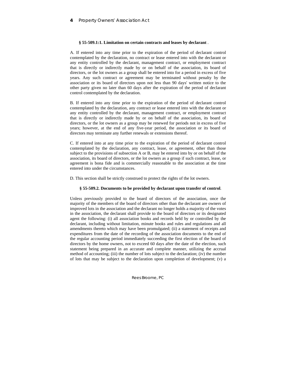#### **§ 55-509.1:1. Limitation on certain contracts and leases by declarant** .

A. If entered into any time prior to the expiration of the period of declarant control contemplated by the declaration, no contract or lease entered into with the declarant or any entity controlled by the declarant, management contract, or employment contract that is directly or indirectly made by or on behalf of the association, its board of directors, or the lot owners as a group shall be entered into for a period in excess of five years. Any such contract or agreement may be terminated without penalty by the association or its board of directors upon not less than 90 days' written notice to the other party given no later than 60 days after the expiration of the period of declarant control contemplated by the declaration.

B. If entered into any time prior to the expiration of the period of declarant control contemplated by the declaration, any contract or lease entered into with the declarant or any entity controlled by the declarant, management contract, or employment contract that is directly or indirectly made by or on behalf of the association, its board of directors, or the lot owners as a group may be renewed for periods not in excess of five years; however, at the end of any five-year period, the association or its board of directors may terminate any further renewals or extensions thereof.

C. If entered into at any time prior to the expiration of the period of declarant control contemplated by the declaration, any contract, lease, or agreement, other than those subject to the provisions of subsection A or B, may be entered into by or on behalf of the association, its board of directors, or the lot owners as a group if such contract, lease, or agreement is bona fide and is commercially reasonable to the association at the time entered into under the circumstances.

D. This section shall be strictly construed to protect the rights of the lot owners.

#### **§ 55-509.2. Documents to be provided by declarant upon transfer of control**.

Unless previously provided to the board of directors of the association, once the majority of the members of the board of directors other than the declarant are owners of improved lots in the association and the declarant no longer holds a majority of the votes in the association, the declarant shall provide to the board of directors or its designated agent the following: (i) all association books and records held by or controlled by the declarant, including without limitation, minute books and rules and regulations and all amendments thereto which may have been promulgated; (ii) a statement of receipts and expenditures from the date of the recording of the association documents to the end of the regular accounting period immediately succeeding the first election of the board of directors by the home owners, not to exceed 60 days after the date of the election, such statement being prepared in an accurate and complete manner, utilizing the accrual method of accounting; (iii) the number of lots subject to the declaration; (iv) the number of lots that may be subject to the declaration upon completion of development; (v) a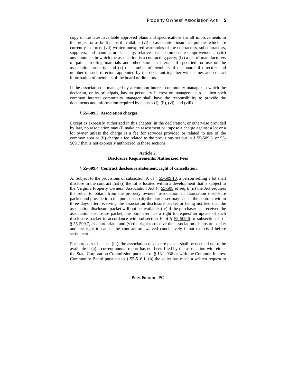copy of the latest available approved plans and specifications for all improvements in the project or as-built plans if available; (vi) all association insurance policies which are currently in force; (vii) written unexpired warranties of the contractors, subcontractors, suppliers, and manufacturers, if any, relative to all common area improvements; (viii) any contracts in which the association is a contracting party;  $(ix)$  a list of manufacturers of paints, roofing materials and other similar materials if specified for use on the association property; and (x) the number of members of the board of directors and number of such directors appointed by the declarant together with names and contact information of members of the board of directors.

If the association is managed by a common interest community manager in which the declarant, or its principals, has no pecuniary interest or management role, then such common interest community manager shall have the responsibility to provide the documents and information required by clauses (i), (ii), (vi), and (viii).

#### **§ 55-509.3. Association charges.**

Except as expressly authorized in this chapter, in the declaration, or otherwise provided by law, no association may (i) make an assessment or impose a charge against a lot or a lot owner unless the charge is a fee for services provided or related to use of the common area or (ii) charge a fee related to the provisions set out in § 55-509.6 .or 55- 509.7 that is not expressly authorized in those sections.

## **Article 2. Disclosure Requirements; Authorized Fees**

## **§ 55-509.4. Contract disclosure statement; right of cancellation.**

A. Subject to the provisions of subsection A of § 55-509.10, a person selling a lot shall disclose in the contract that (i) the lot is located within a development that is subject to the Virginia Property Owners' Association Act (§ 55-508 et seq.); (ii) the Act requires the seller to obtain from the property owners' association an association disclosure packet and provide it to the purchaser; (iii) the purchaser may cancel the contract within three days after receiving the association disclosure packet or being notified that the association disclosure packet will not be available, (iv) if the purchaser has received the association disclosure packet, the purchaser has a right to request an update of such disclosure packet in accordance with subsection H of § 55-509.6 or subsection C of § 55-509.7, as appropriate; and (v) the right to receive the association disclosure packet and the right to cancel the contract are waived conclusively if not exercised before settlement.

For purposes of clause (iii), the association disclosure packet shall be deemed not to be available if (a) a current annual report has not been filed by the association with either the State Corporation Commission pursuant to  $\S$  13.1-936 or with the Common Interest Community Board pursuant to  $\S$  55-516.1, (b) the seller has made a written request to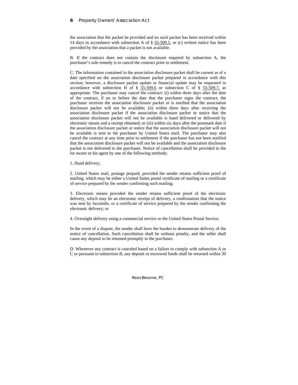## **6** Property Owners' Association Act

the association that the packet be provided and no such packet has been received within 14 days in accordance with subsection A of § 55-509.5, or (c) written notice has been provided by the association that a packet is not available.

B. If the contract does not contain the disclosure required by subsection A, the purchaser's sole remedy is to cancel the contract prior to settlement.

C. The information contained in the association disclosure packet shall be current as of a date specified on the association disclosure packet prepared in accordance with this section; however, a disclosure packet update or financial update may be requested in accordance with subsection H of §  $55-509.6$  or subsection C of §  $55-509.7$ , as appropriate. The purchaser may cancel the contract: (i) within three days after the date of the contract, if on or before the date that the purchaser signs the contract, the purchaser receives the association disclosure packet or is notified that the association disclosure packet will not be available; (ii) within three days after receiving the association disclosure packet if the association disclosure packet or notice that the association disclosure packet will not be available is hand delivered or delivered by electronic means and a receipt obtained; or (iii) within six days after the postmark date if the association disclosure packet or notice that the association disclosure packet will not be available is sent to the purchaser by United States mail. The purchaser may also cancel the contract at any time prior to settlement if the purchaser has not been notified that the association disclosure packet will not be available and the association disclosure packet is not delivered to the purchaser. Notice of cancellation shall be provided to the lot owner or his agent by one of the following methods:

### 1. Hand delivery;

2. United States mail, postage prepaid, provided the sender retains sufficient proof of mailing, which may be either a United States postal certificate of mailing or a certificate of service prepared by the sender confirming such mailing;

3. Electronic means provided the sender retains sufficient proof of the electronic delivery, which may be an electronic receipt of delivery, a confirmation that the notice was sent by facsimile, or a certificate of service prepared by the sender confirming the electronic delivery; or

4. Overnight delivery using a commercial service or the United States Postal Service.

In the event of a dispute, the sender shall have the burden to demonstrate delivery of the notice of cancellation. Such cancellation shall be without penalty, and the seller shall cause any deposit to be returned promptly to the purchaser.

D. Whenever any contract is canceled based on a failure to comply with subsection A or C or pursuant to subsection B, any deposit or escrowed funds shall be returned within 30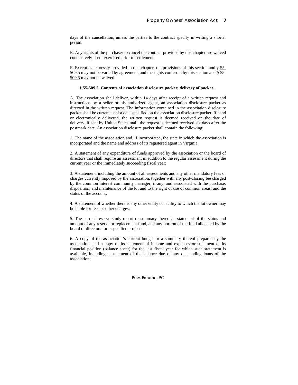days of the cancellation, unless the parties to the contract specify in writing a shorter period.

E. Any rights of the purchaser to cancel the contract provided by this chapter are waived conclusively if not exercised prior to settlement.

F. Except as expressly provided in this chapter, the provisions of this section and § 55- 509.5 may not be varied by agreement, and the rights conferred by this section and § 55- 509.5 may not be waived.

#### **§ 55-509.5. Contents of association disclosure packet; delivery of packet.**

A. The association shall deliver, within 14 days after receipt of a written request and instructions by a seller or his authorized agent, an association disclosure packet as directed in the written request. The information contained in the association disclosure packet shall be current as of a date specified on the association disclosure packet. If hand or electronically delivered, the written request is deemed received on the date of delivery. if sent by United States mail, the request is deemed received six days after the postmark date. An association disclosure packet shall contain the following:

1. The name of the association and, if incorporated, the state in which the association is incorporated and the name and address of its registered agent in Virginia;

2. A statement of any expenditure of funds approved by the association or the board of directors that shall require an assessment in addition to the regular assessment during the current year or the immediately succeeding fiscal year;

3. A statement, including the amount of all assessments and any other mandatory fees or charges currently imposed by the association, together with any post-closing fee charged by the common interest community manager, if any, and associated with the purchase, disposition, and maintenance of the lot and to the right of use of common areas, and the status of the account;

4. A statement of whether there is any other entity or facility to which the lot owner may be liable for fees or other charges;

5. The current reserve study report or summary thereof, a statement of the status and amount of any reserve or replacement fund, and any portion of the fund allocated by the board of directors for a specified project;

6. A copy of the association's current budget or a summary thereof prepared by the association, and a copy of its statement of income and expenses or statement of its financial position (balance sheet) for the last fiscal year for which such statement is available, including a statement of the balance due of any outstanding loans of the association;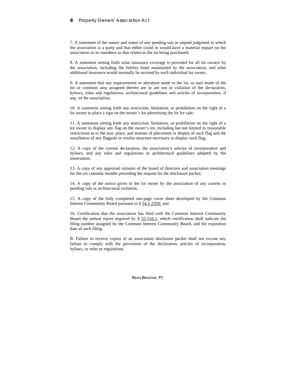## **8** Property Owners' Association Act

7. A statement of the nature and status of any pending suit or unpaid judgment to which the association is a party and that either could or would have a material impact on the association or its members or that relates to the lot being purchased;

8. A statement setting forth what insurance coverage is provided for all lot owners by the association, including the fidelity bond maintained by the association, and what additional insurance would normally be secured by each individual lot owner;

9. A statement that any improvement or alteration made to the lot, or uses made of the lot or common area assigned thereto are or are not in violation of the declaration, bylaws, rules and regulations, architectural guidelines and articles of incorporation, if any, of the association;

10. A statement setting forth any restriction, limitation, or prohibition on the right of a lot owner to place a sign on the owner's lot advertising the lot for sale;

11. A statement setting forth any restriction, limitation, or prohibition on the right of a lot owner to display any flag on the owner's lot, including but not limited to reasonable restrictions as to the size, place, and manner of placement or display of such flag and the installation of any flagpole or similar structure necessary to display such flag;

12. A copy of the current declaration, the association's articles of incorporation and bylaws, and any rules and regulations or architectural guidelines adopted by the association;

13. A copy of any approved minutes of the board of directors and association meetings for the six calendar months preceding the request for the disclosure packet;

14. A copy of the notice given to the lot owner by the association of any current or pending rule or architectural violation;

15. A copy of the fully completed one-page cover sheet developed by the Common Interest Community Board pursuant to § 54.1-2350; and

16. Certification that the association has filed with the Common Interest Community Board the annual report required by § 55-516.1, which certification shall indicate the filing number assigned by the Common Interest Community Board, and the expiration date of such filing.

B. Failure to receive copies of an association disclosure packet shall not excuse any failure to comply with the provisions of the declaration, articles of incorporation, bylaws, or rules or regulations.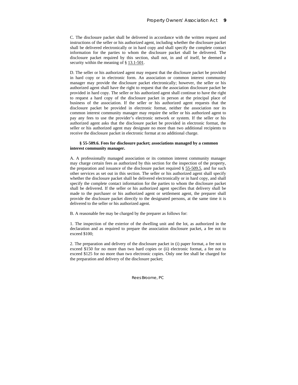C. The disclosure packet shall be delivered in accordance with the written request and instructions of the seller or his authorized agent, including whether the disclosure packet shall be delivered electronically or in hard copy and shall specify the complete contact information for the parties to whom the disclosure packet shall be delivered. The disclosure packet required by this section, shall not, in and of itself, be deemed a security within the meaning of § 13.1-501.

D. The seller or his authorized agent may request that the disclosure packet be provided in hard copy or in electronic form. An association or common interest community manager may provide the disclosure packet electronically; however, the seller or his authorized agent shall have the right to request that the association disclosure packet be provided in hard copy. The seller or his authorized agent shall continue to have the right to request a hard copy of the disclosure packet in person at the principal place of business of the association. If the seller or his authorized agent requests that the disclosure packet be provided in electronic format, neither the association nor its common interest community manager may require the seller or his authorized agent to pay any fees to use the provider's electronic network or system. If the seller or his authorized agent asks that the disclosure packet be provided in electronic format, the seller or his authorized agent may designate no more than two additional recipients to receive the disclosure packet in electronic format at no additional charge.

## **§ 55-509.6. Fees for disclosure packet; associations managed by a common interest community manager.**

A. A professionally managed association or its common interest community manager may charge certain fees as authorized by this section for the inspection of the property, the preparation and issuance of the disclosure packet required  $\S$  55-509.5, and for such other services as set out in this section. The seller or his authorized agent shall specify whether the disclosure packet shall be delivered electronically or in hard copy, and shall specify the complete contact information for the parties to whom the disclosure packet shall be delivered. If the seller or his authorized agent specifies that delivery shall be made to the purchaser or his authorized agent or settlement agent, the preparer shall provide the disclosure packet directly to the designated persons, at the same time it is delivered to the seller or his authorized agent.

B. A reasonable fee may be charged by the preparer as follows for:

1. The inspection of the exterior of the dwelling unit and the lot, as authorized in the declaration and as required to prepare the association disclosure packet, a fee not to exceed \$100;

2. The preparation and delivery of the disclosure packet in (i) paper format, a fee not to exceed \$150 for no more than two hard copies or (ii) electronic format, a fee not to exceed \$125 for no more than two electronic copies. Only one fee shall be charged for the preparation and delivery of the disclosure packet;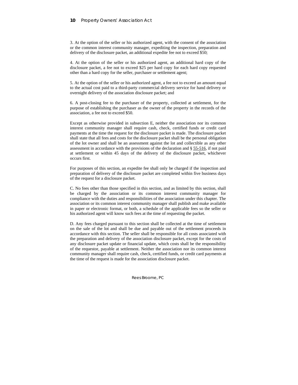3. At the option of the seller or his authorized agent, with the consent of the association or the common interest community manager, expediting the inspection, preparation and delivery of the disclosure packet, an additional expedite fee not to exceed \$50;

4. At the option of the seller or his authorized agent, an additional hard copy of the disclosure packet, a fee not to exceed \$25 per hard copy for each hard copy requested other than a hard copy for the seller, purchaser or settlement agent;

5. At the option of the seller or his authorized agent, a fee not to exceed an amount equal to the actual cost paid to a third-party commercial delivery service for hand delivery or overnight delivery of the association disclosure packet; and

6. A post-closing fee to the purchaser of the property, collected at settlement, for the purpose of establishing the purchaser as the owner of the property in the records of the association, a fee not to exceed \$50.

Except as otherwise provided in subsection E, neither the association nor its common interest community manager shall require cash, check, certified funds or credit card payments at the time the request for the disclosure packet is made. The disclosure packet shall state that all fees and costs for the disclosure packet shall be the personal obligation of the lot owner and shall be an assessment against the lot and collectible as any other assessment in accordance with the provisions of the declaration and § 55-516, if not paid at settlement or within 45 days of the delivery of the disclosure packet, whichever occurs first.

For purposes of this section, an expedite fee shall only be charged if the inspection and preparation of delivery of the disclosure packet are completed within five business days of the request for a disclosure packet.

C. No fees other than those specified in this section, and as limited by this section, shall be charged by the association or its common interest community manager for compliance with the duties and responsibilities of the association under this chapter. The association or its common interest community manager shall publish and make available in paper or electronic format, or both, a schedule of the applicable fees so the seller or his authorized agent will know such fees at the time of requesting the packet.

D. Any fees charged pursuant to this section shall be collected at the time of settlement on the sale of the lot and shall be due and payable out of the settlement proceeds in accordance with this section. The seller shall be responsible for all costs associated with the preparation and delivery of the association disclosure packet, except for the costs of any disclosure packet update or financial update, which costs shall be the responsibility of the requestor, payable at settlement. Neither the association nor its common interest community manager shall require cash, check, certified funds, or credit card payments at the time of the request is made for the association disclosure packet.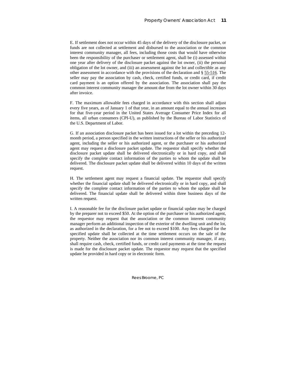E. If settlement does not occur within 45 days of the delivery of the disclosure packet, or funds are not collected at settlement and disbursed to the association or the common interest community manager, all fees, including those costs that would have otherwise been the responsibility of the purchaser or settlement agent, shall be (i) assessed within one year after delivery of the disclosure packet against the lot owner, (ii) the personal obligation of the lot owner, and (iii) an assessment against the lot and collectible as any other assessment in accordance with the provisions of the declaration and § 55-516. The seller may pay the association by cash, check, certified funds, or credit card, if credit card payment is an option offered by the association. The association shall pay the common interest community manager the amount due from the lot owner within 30 days after invoice.

F. The maximum allowable fees charged in accordance with this section shall adjust every five years, as of January 1 of that year, in an amount equal to the annual increases for that five-year period in the United States Average Consumer Price Index for all items, all urban consumers (CPI-U), as published by the Bureau of Labor Statistics of the U.S. Department of Labor.

G. If an association disclosure packet has been issued for a lot within the preceding 12 month period, a person specified in the written instructions of the seller or his authorized agent, including the seller or his authorized agent, or the purchaser or his authorized agent may request a disclosure packet update. The requestor shall specify whether the disclosure packet update shall be delivered electronically or in hard copy, and shall specify the complete contact information of the parties to whom the update shall be delivered. The disclosure packet update shall be delivered within 10 days of the written request.

H. The settlement agent may request a financial update. The requestor shall specify whether the financial update shall be delivered electronically or in hard copy, and shall specify the complete contact information of the parties to whom the update shall be delivered. The financial update shall be delivered within three business days of the written request.

I. A reasonable fee for the disclosure packet update or financial update may be charged by the preparer not to exceed \$50. At the option of the purchaser or his authorized agent, the requestor may request that the association or the common interest community manager perform an additional inspection of the exterior of the dwelling unit and the lot, as authorized in the declaration, for a fee not to exceed \$100. Any fees charged for the specified update shall be collected at the time settlement occurs on the sale of the property. Neither the association nor its common interest community manager, if any, shall require cash, check, certified funds, or credit card payments at the time the request is made for the disclosure packet update. The requestor may request that the specified update be provided in hard copy or in electronic form.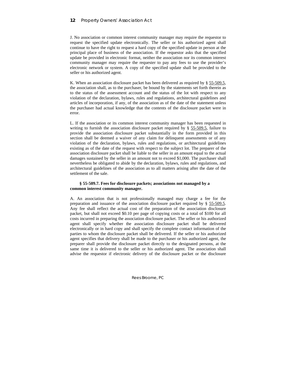J. No association or common interest community manager may require the requestor to request the specified update electronically. The seller or his authorized agent shall continue to have the right to request a hard copy of the specified update in person at the principal place of business of the association. If the requestor asks that the specified update be provided in electronic format, neither the association nor its common interest community manager may require the requester to pay any fees to use the provider's electronic network or system. A copy of the specified update shall be provided to the seller or his authorized agent.

K. When an association disclosure packet has been delivered as required by § 55-509.5, the association shall, as to the purchaser, be bound by the statements set forth therein as to the status of the assessment account and the status of the lot with respect to any violation of the declaration, bylaws, rules and regulations, architectural guidelines and articles of incorporation, if any, of the association as of the date of the statement unless the purchaser had actual knowledge that the contents of the disclosure packet were in error.

L. If the association or its common interest community manager has been requested in writing to furnish the association disclosure packet required by § 55-509.5, failure to provide the association disclosure packet substantially in the form provided in this section shall be deemed a waiver of any claim for delinquent assessments or of any violation of the declaration, bylaws, rules and regulations, or architectural guidelines existing as of the date of the request with respect to the subject lot. The preparer of the association disclosure packet shall be liable to the seller in an amount equal to the actual damages sustained by the seller in an amount not to exceed \$1,000. The purchaser shall nevertheless be obligated to abide by the declaration, bylaws, rules and regulations, and architectural guidelines of the association as to all matters arising after the date of the settlement of the sale.

## **§ 55-509.7. Fees for disclosure packets; associations not managed by a common interest community manager.**

A. An association that is not professionally managed may charge a fee for the preparation and issuance of the association disclosure packet required by § 55-509.5. Any fee shall reflect the actual cost of the preparation of the association disclosure packet, but shall not exceed \$0.10 per page of copying costs or a total of \$100 for all costs incurred in preparing the association disclosure packet. The seller or his authorized agent shall specify whether the association disclosure packet shall be delivered electronically or in hard copy and shall specify the complete contact information of the parties to whom the disclosure packet shall be delivered. If the seller or his authorized agent specifies that delivery shall be made to the purchaser or his authorized agent, the preparer shall provide the disclosure packet directly to the designated persons, at the same time it is delivered to the seller or his authorized agent. The association shall advise the requestor if electronic delivery of the disclosure packet or the disclosure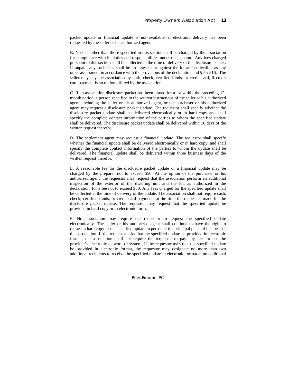packet update or financial update is not available, if electronic delivery has been requested by the seller or his authorized agent.

B. No fees other than those specified in this section shall be charged by the association for compliance with its duties and responsibilities under this section. Any fees charged pursuant to this section shall be collected at the time of delivery of the disclosure packet. If unpaid, any such fees shall be an assessment against the lot and collectible as any other assessment in accordance with the provisions of the declaration and § 55-516. The seller may pay the association by cash, check, certified funds, or credit card, if credit card payment is an option offered by the association.

C. If an association disclosure packet has been issued for a lot within the preceding 12 month period, a person specified in the written instructions of the seller or his authorized agent, including the seller or his authorized agent, or the purchaser or his authorized agent may request a disclosure packet update. The requestor shall specify whether the disclosure packet update shall be delivered electronically or in hard copy and shall specify the complete contact information of the parties to whom the specified update shall be delivered. The disclosure packet update shall be delivered within 10 days of the written request therefor.

D. The settlement agent may request a financial update. The requestor shall specify whether the financial update shall be delivered electronically or in hard copy, and shall specify the complete contact information of the parties to whom the update shall be delivered. The financial update shall be delivered within three business days of the written request therefor.

E. A reasonable fee for the disclosure packet update or a financial update may be charged by the preparer not to exceed \$50. At the option of the purchaser or his authorized agent, the requestor may request that the association perform an additional inspection of the exterior of the dwelling unit and the lot, as authorized in the declaration, for a fee not to exceed \$50. Any fees charged for the specified update shall be collected at the time of delivery of the update. The association shall not require cash, check, certified funds, or credit card payments at the time the request is made for the disclosure packet update. The requestor may request that the specified update be provided in hard copy or in electronic form.

F. No association may require the requestor to request the specified update electronically. The seller or his authorized agent shall continue to have the right to request a hard copy of the specified update in person at the principal place of business of the association. If the requestor asks that the specified update be provided in electronic format, the association shall not require the requester to pay any fees to use the provider's electronic network or system. If the requestor asks that the specified update be provided in electronic format, the requestor may designate no more than two additional recipients to receive the specified update in electronic format at no additional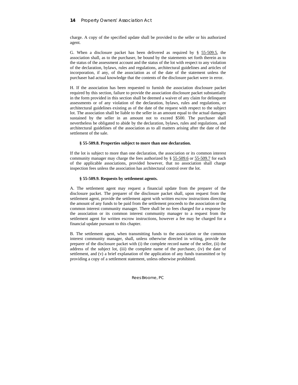charge. A copy of the specified update shall be provided to the seller or his authorized agent.

G. When a disclosure packet has been delivered as required by § 55-509.5, the association shall, as to the purchaser, be bound by the statements set forth therein as to the status of the assessment account and the status of the lot with respect to any violation of the declaration, bylaws, rules and regulations, architectural guidelines and articles of incorporation, if any, of the association as of the date of the statement unless the purchaser had actual knowledge that the contents of the disclosure packet were in error.

H. If the association has been requested to furnish the association disclosure packet required by this section, failure to provide the association disclosure packet substantially in the form provided in this section shall be deemed a waiver of any claim for delinquent assessments or of any violation of the declaration, bylaws, rules and regulations, or architectural guidelines existing as of the date of the request with respect to the subject lot. The association shall be liable to the seller in an amount equal to the actual damages sustained by the seller in an amount not to exceed \$500. The purchaser shall nevertheless be obligated to abide by the declaration, bylaws, rules and regulations, and architectural guidelines of the association as to all matters arising after the date of the settlement of the sale.

### **§ 55-509.8. Properties subject to more than one declaration.**

If the lot is subject to more than one declaration, the association or its common interest community manager may charge the fees authorized by § 55-509.6 or 55-509.7 for each of the applicable associations, provided however, that no association shall charge inspection fees unless the association has architectural control over the lot.

## **§ 55-509.9. Requests by settlement agents.**

A. The settlement agent may request a financial update from the preparer of the disclosure packet. The preparer of the disclosure packet shall, upon request from the settlement agent, provide the settlement agent with written escrow instructions directing the amount of any funds to be paid from the settlement proceeds to the association or the common interest community manager. There shall be no fees charged for a response by the association or its common interest community manager to a request from the settlement agent for written escrow instructions, however a fee may be charged for a financial update pursuant to this chapter.

B. The settlement agent, when transmitting funds to the association or the common interest community manager, shall, unless otherwise directed in writing, provide the preparer of the disclosure packet with (i) the complete record name of the seller, (ii) the address of the subject lot, (iii) the complete name of the purchaser, (iv) the date of settlement, and (v) a brief explanation of the application of any funds transmitted or by providing a copy of a settlement statement, unless otherwise prohibited.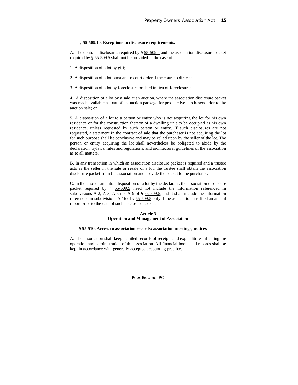## **§ 55-509.10. Exceptions to disclosure requirements.**

A. The contract disclosures required by § 55-509.4 and the association disclosure packet required by § 55-509.5 shall not be provided in the case of:

1. A disposition of a lot by gift;

2. A disposition of a lot pursuant to court order if the court so directs;

3. A disposition of a lot by foreclosure or deed in lieu of foreclosure;

4. A disposition of a lot by a sale at an auction, where the association disclosure packet was made available as part of an auction package for prospective purchasers prior to the auction sale; or

5. A disposition of a lot to a person or entity who is not acquiring the lot for his own residence or for the construction thereon of a dwelling unit to be occupied as his own residence, unless requested by such person or entity. If such disclosures are not requested, a statement in the contract of sale that the purchaser is not acquiring the lot for such purpose shall be conclusive and may be relied upon by the seller of the lot. The person or entity acquiring the lot shall nevertheless be obligated to abide by the declaration, bylaws, rules and regulations, and architectural guidelines of the association as to all matters.

B. In any transaction in which an association disclosure packet is required and a trustee acts as the seller in the sale or resale of a lot, the trustee shall obtain the association disclosure packet from the association and provide the packet to the purchaser.

C. In the case of an initial disposition of a lot by the declarant, the association disclosure packet required by § 55-509.5 need not include the information referenced in subdivisions A 2, A 3, A 5 nor A 9 of  $\S$  55-509.5, and it shall include the information referenced in subdivisions A 16 of § 55-509.5 only if the association has filed an annual report prior to the date of such disclosure packet.

#### **Article 3 Operation and Management of Association**

#### **§ 55-510. Access to association records; association meetings; notices**

A. The association shall keep detailed records of receipts and expenditures affecting the operation and administration of the association. All financial books and records shall be kept in accordance with generally accepted accounting practices.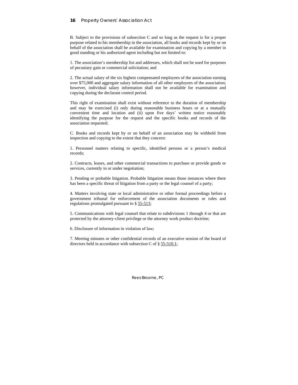### **16** Property Owners' Association Act

B. Subject to the provisions of subsection C and so long as the request is for a proper purpose related to his membership in the association, all books and records kept by or on behalf of the association shall be available for examination and copying by a member in good standing or his authorized agent including but not limited to:

1. The association's membership list and addresses, which shall not be used for purposes of pecuniary gain or commercial solicitation; and

2. The actual salary of the six highest compensated employees of the association earning over \$75,000 and aggregate salary information of all other employees of the association; however, individual salary information shall not be available for examination and copying during the declarant control period.

This right of examination shall exist without reference to the duration of membership and may be exercised (i) only during reasonable business hours or at a mutually convenient time and location and (ii) upon five days' written notice reasonably identifying the purpose for the request and the specific books and records of the association requested.

C. Books and records kept by or on behalf of an association may be withheld from inspection and copying to the extent that they concern:

1. Personnel matters relating to specific, identified persons or a person's medical records;

2. Contracts, leases, and other commercial transactions to purchase or provide goods or services, currently in or under negotiation;

3. Pending or probable litigation. Probable litigation means those instances where there has been a specific threat of litigation from a party or the legal counsel of a party;

4. Matters involving state or local administrative or other formal proceedings before a government tribunal for enforcement of the association documents or rules and regulations promulgated pursuant to § 55-513;

5. Communications with legal counsel that relate to subdivisions 1 through 4 or that are protected by the attorney-client privilege or the attorney work product doctrine;

6. Disclosure of information in violation of law;

7. Meeting minutes or other confidential records of an executive session of the board of directors held in accordance with subsection C of § 55-510.1;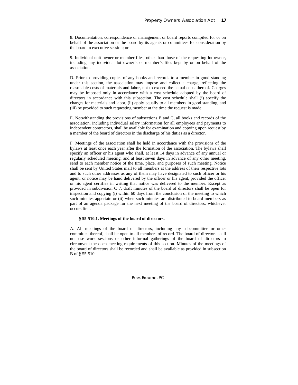8. Documentation, correspondence or management or board reports compiled for or on behalf of the association or the board by its agents or committees for consideration by the board in executive session; or

9. Individual unit owner or member files, other than those of the requesting lot owner, including any individual lot owner's or member's files kept by or on behalf of the association.

D. Prior to providing copies of any books and records to a member in good standing under this section, the association may impose and collect a charge, reflecting the reasonable costs of materials and labor, not to exceed the actual costs thereof. Charges may be imposed only in accordance with a cost schedule adopted by the board of directors in accordance with this subsection. The cost schedule shall (i) specify the charges for materials and labor, (ii) apply equally to all members in good standing, and (iii) be provided to such requesting member at the time the request is made.

E. Notwithstanding the provisions of subsections B and C, all books and records of the association, including individual salary information for all employees and payments to independent contractors, shall be available for examination and copying upon request by a member of the board of directors in the discharge of his duties as a director.

F. Meetings of the association shall be held in accordance with the provisions of the bylaws at least once each year after the formation of the association. The bylaws shall specify an officer or his agent who shall, at least 14 days in advance of any annual or regularly scheduled meeting, and at least seven days in advance of any other meeting, send to each member notice of the time, place, and purposes of such meeting. Notice shall be sent by United States mail to all members at the address of their respective lots and to such other addresses as any of them may have designated to such officer or his agent; or notice may be hand delivered by the officer or his agent, provided the officer or his agent certifies in writing that notice was delivered to the member. Except as provided in subdivision C 7, draft minutes of the board of directors shall be open for inspection and copying (i) within 60 days from the conclusion of the meeting to which such minutes appertain or (ii) when such minutes are distributed to board members as part of an agenda package for the next meeting of the board of directors, whichever occurs first.

## **§ 55-510.1. Meetings of the board of directors.**

A. All meetings of the board of directors, including any subcommittee or other committee thereof, shall be open to all members of record. The board of directors shall not use work sessions or other informal gatherings of the board of directors to circumvent the open meeting requirements of this section. Minutes of the meetings of the board of directors shall be recorded and shall be available as provided in subsection B of § 55-510.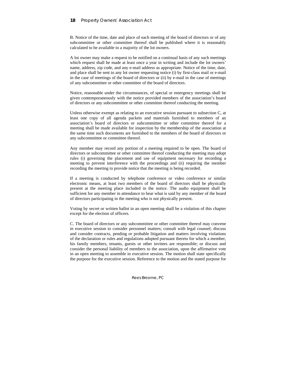B. Notice of the time, date and place of each meeting of the board of directors or of any subcommittee or other committee thereof shall be published where it is reasonably calculated to be available to a majority of the lot owners.

A lot owner may make a request to be notified on a continual basis of any such meetings which request shall be made at least once a year in writing and include the lot owners' name, address, zip code, and any e-mail address as appropriate. Notice of the time, date, and place shall be sent to any lot owner requesting notice (i) by first-class mail or e-mail in the case of meetings of the board of directors or (ii) by e-mail in the case of meetings of any subcommittee or other committee of the board of directors.

Notice, reasonable under the circumstances, of special or emergency meetings shall be given contemporaneously with the notice provided members of the association's board of directors or any subcommittee or other committee thereof conducting the meeting.

Unless otherwise exempt as relating to an executive session pursuant to subsection C, at least one copy of all agenda packets and materials furnished to members of an association's board of directors or subcommittee or other committee thereof for a meeting shall be made available for inspection by the membership of the association at the same time such documents are furnished to the members of the board of directors or any subcommittee or committee thereof.

Any member may record any portion of a meeting required to be open. The board of directors or subcommittee or other committee thereof conducting the meeting may adopt rules (i) governing the placement and use of equipment necessary for recording a meeting to prevent interference with the proceedings and (ii) requiring the member recording the meeting to provide notice that the meeting is being recorded.

If a meeting is conducted by telephone conference or video conference or similar electronic means, at least two members of the board of directors shall be physically present at the meeting place included in the notice. The audio equipment shall be sufficient for any member in attendance to hear what is said by any member of the board of directors participating in the meeting who is not physically present.

Voting by secret or written ballot in an open meeting shall be a violation of this chapter except for the election of officers.

C. The board of directors or any subcommittee or other committee thereof may convene in executive session to consider personnel matters; consult with legal counsel; discuss and consider contracts, pending or probable litigation and matters involving violations of the declaration or rules and regulations adopted pursuant thereto for which a member, his family members, tenants, guests or other invitees are responsible; or discuss and consider the personal liability of members to the association, upon the affirmative vote in an open meeting to assemble in executive session. The motion shall state specifically the purpose for the executive session. Reference to the motion and the stated purpose for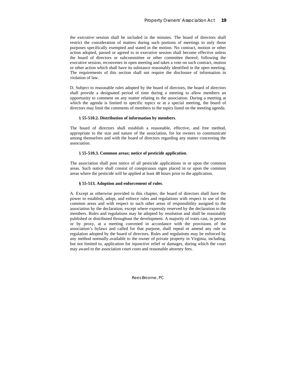the executive session shall be included in the minutes. The board of directors shall restrict the consideration of matters during such portions of meetings to only those purposes specifically exempted and stated in the motion. No contract, motion or other action adopted, passed or agreed to in executive session shall become effective unless the board of directors or subcommittee or other committee thereof, following the executive session, reconvenes in open meeting and takes a vote on such contract, motion or other action which shall have its substance reasonably identified in the open meeting. The requirements of this section shall not require the disclosure of information in violation of law.

D. Subject to reasonable rules adopted by the board of directors, the board of directors shall provide a designated period of time during a meeting to allow members an opportunity to comment on any matter relating to the association. During a meeting at which the agenda is limited to specific topics or at a special meeting, the board of directors may limit the comments of members to the topics listed on the meeting agenda.

## § **55-510.2. Distribution of information by members**.

The board of directors shall establish a reasonable, effective, and free method, appropriate to the size and nature of the association, for lot owners to communicate among themselves and with the board of directors regarding any matter concerning the association.

#### § **55-510.3. Common areas; notice of pesticide application**.

The association shall post notice of all pesticide applications in or upon the common areas. Such notice shall consist of conspicuous signs placed in or upon the common areas where the pesticide will be applied at least 48 hours prior to the application.

#### **§ 55-513. Adoption and enforcement of rules**.

A. Except as otherwise provided in this chapter, the board of directors shall have the power to establish, adopt, and enforce rules and regulations with respect to use of the common areas and with respect to such other areas of responsibility assigned to the association by the declaration, except where expressly reserved by the declaration to the members. Rules and regulations may be adopted by resolution and shall be reasonably published or distributed throughout the development. A majority of votes cast, in person or by proxy, at a meeting convened in accordance with the provisions of the association's bylaws and called for that purpose, shall repeal or amend any rule or regulation adopted by the board of directors. Rules and regulations may be enforced by any method normally available to the owner of private property in Virginia, including, but not limited to, application for injunctive relief or damages, during which the court may award to the association court costs and reasonable attorney fees.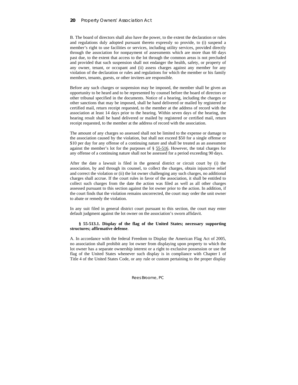B. The board of directors shall also have the power, to the extent the declaration or rules and regulations duly adopted pursuant thereto expressly so provide, to (i) suspend a member's right to use facilities or services, including utility services, provided directly through the association for nonpayment of assessments which are more than 60 days past due, to the extent that access to the lot through the common areas is not precluded and provided that such suspension shall not endanger the health, safety, or property of any owner, tenant, or occupant and (ii) assess charges against any member for any violation of the declaration or rules and regulations for which the member or his family members, tenants, guests, or other invitees are responsible.

Before any such charges or suspension may be imposed, the member shall be given an opportunity to be heard and to be represented by counsel before the board of directors or other tribunal specified in the documents. Notice of a hearing, including the charges or other sanctions that may be imposed, shall be hand delivered or mailed by registered or certified mail, return receipt requested, to the member at the address of record with the association at least 14 days prior to the hearing. Within seven days of the hearing, the hearing result shall be hand delivered or mailed by registered or certified mail, return receipt requested, to the member at the address of record with the association.

The amount of any charges so assessed shall not be limited to the expense or damage to the association caused by the violation, but shall not exceed \$50 for a single offense or \$10 per day for any offense of a continuing nature and shall be treated as an assessment against the member's lot for the purposes of § 55-516. However, the total charges for any offense of a continuing nature shall not be assessed for a period exceeding 90 days.

After the date a lawsuit is filed in the general district or circuit court by (i) the association, by and through its counsel, to collect the charges, obtain injunctive relief and correct the violation or (ii) the lot owner challenging any such charges, no additional charges shall accrue. If the court rules in favor of the association, it shall be entitled to collect such charges from the date the action was filed as well as all other charges assessed pursuant to this section against the lot owner prior to the action. In addition, if the court finds that the violation remains uncorrected, the court may order the unit owner to abate or remedy the violation.

In any suit filed in general district court pursuant to this section, the court may enter default judgment against the lot owner on the association's sworn affidavit.

### **§ 55-513.1. Display of the flag of the United States; necessary supporting structures; affirmative defense**.

A. In accordance with the federal Freedom to Display the American Flag Act of 2005, no association shall prohibit any lot owner from displaying upon property to which the lot owner has a separate ownership interest or a right to exclusive possession or use the flag of the United States whenever such display is in compliance with Chapter 1 of Title 4 of the United States Code, or any rule or custom pertaining to the proper display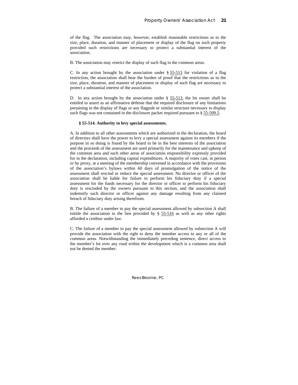of the flag. The association may, however, establish reasonable restrictions as to the size, place, duration, and manner of placement or display of the flag on such property provided such restrictions are necessary to protect a substantial interest of the association.

B. The association may restrict the display of such flag in the common areas.

C. In any action brought by the association under  $\S 55-513$  for violation of a flag restriction, the association shall bear the burden of proof that the restrictions as to the size, place, duration, and manner of placement or display of such flag are necessary to protect a substantial interest of the association.

D. In any action brought by the association under § 55-513, the lot owner shall be entitled to assert as an affirmative defense that the required disclosure of any limitations pertaining to the display of flags or any flagpole or similar structure necessary to display such flags was not contained in the disclosure packet required pursuant to § 55-509.5.

#### **§ 55-514. Authority to levy special assessments.**

A. In addition to all other assessments which are authorized in the declaration, the board of directors shall have the power to levy a special assessment against its members if the purpose in so doing is found by the board to be in the best interests of the association and the proceeds of the assessment are used primarily for the maintenance and upkeep of the common area and such other areas of association responsibility expressly provided for in the declaration, including capital expenditures. A majority of votes cast, in person or by proxy, at a meeting of the membership convened in accordance with the provisions of the association's bylaws within 60 days of promulgation of the notice of the assessment shall rescind or reduce the special assessment. No director or officer of the association shall be liable for failure to perform his fiduciary duty if a special assessment for the funds necessary for the director or officer to perform his fiduciary duty is rescinded by the owners pursuant to this section, and the association shall indemnify such director or officer against any damage resulting from any claimed breach of fiduciary duty arising therefrom.

B. The failure of a member to pay the special assessment allowed by subsection A shall entitle the association to the lien provided by § 55-516 as well as any other rights afforded a creditor under law.

C. The failure of a member to pay the special assessment allowed by subsection A will provide the association with the right to deny the member access to any or all of the common areas. Notwithstanding the immediately preceding sentence, direct access to the member's lot over any road within the development which is a common area shall not be denied the member.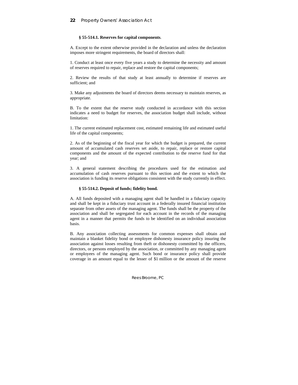#### **§ 55-514.1. Reserves for capital components**.

A. Except to the extent otherwise provided in the declaration and unless the declaration imposes more stringent requirements, the board of directors shall:

1. Conduct at least once every five years a study to determine the necessity and amount of reserves required to repair, replace and restore the capital components;

2. Review the results of that study at least annually to determine if reserves are sufficient; and

3. Make any adjustments the board of directors deems necessary to maintain reserves, as appropriate.

B. To the extent that the reserve study conducted in accordance with this section indicates a need to budget for reserves, the association budget shall include, without limitation:

1. The current estimated replacement cost, estimated remaining life and estimated useful life of the capital components;

2. As of the beginning of the fiscal year for which the budget is prepared, the current amount of accumulated cash reserves set aside, to repair, replace or restore capital components and the amount of the expected contribution to the reserve fund for that year; and

3. A general statement describing the procedures used for the estimation and accumulation of cash reserves pursuant to this section and the extent to which the association is funding its reserve obligations consistent with the study currently in effect.

#### **§ 55-514.2. Deposit of funds; fidelity bond.**

A. All funds deposited with a managing agent shall be handled in a fiduciary capacity and shall be kept in a fiduciary trust account in a federally insured financial institution separate from other assets of the managing agent. The funds shall be the property of the association and shall be segregated for each account in the records of the managing agent in a manner that permits the funds to be identified on an individual association basis.

B. Any association collecting assessments for common expenses shall obtain and maintain a blanket fidelity bond or employee dishonesty insurance policy insuring the association against losses resulting from theft or dishonesty committed by the officers, directors, or persons employed by the association, or committed by any managing agent or employees of the managing agent. Such bond or insurance policy shall provide coverage in an amount equal to the lesser of \$1 million or the amount of the reserve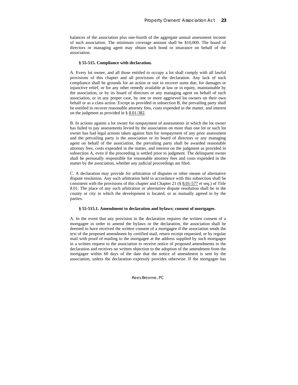balances of the association plus one-fourth of the aggregate annual assessment income of such association. The minimum coverage amount shall be \$10,000. The board of directors or managing agent may obtain such bond or insurance on behalf of the association.

#### **§ 55-515. Compliance with declaration.**

A. Every lot owner, and all those entitled to occupy a lot shall comply with all lawful provisions of this chapter and all provisions of the declaration. Any lack of such compliance shall be grounds for an action or suit to recover sums due, for damages or injunctive relief, or for any other remedy available at law or in equity, maintainable by the association, or by its board of directors or any managing agent on behalf of such association, or in any proper case, by one or more aggrieved lot owners on their own behalf or as a class action. Except as provided in subsection B, the prevailing party shall be entitled to recover reasonable attorney fees, costs expended in the matter, and interest on the judgment as provided in § 8.01-382.

B. In actions against a lot owner for nonpayment of assessments in which the lot owner has failed to pay assessments levied by the association on more than one lot or such lot owner has had legal actions taken against him for nonpayment of any prior assessment and the prevailing party is the association or its board of directors or any managing agent on behalf of the association, the prevailing party shall be awarded reasonable attorney fees, costs expended in the matter, and interest on the judgment as provided in subsection A, even if the proceeding is settled prior to judgment. The delinquent owner shall be personally responsible for reasonable attorney fees and costs expended in the matter by the association, whether any judicial proceedings are filed.

C. A declaration may provide for arbitration of disputes or other means of alternative dispute resolution. Any such arbitration held in accordance with this subsection shall be consistent with the provisions of this chapter and Chapter 21 (§ 8.01-577 et seq.) of Title 8.01. The place of any such arbitration or alternative dispute resolution shall be in the county or city in which the development is located, or as mutually agreed to by the parties.

#### **§ 55-515.1. Amendment to declaration and bylaws; consent of mortgagee.**

A. In the event that any provision in the declaration requires the written consent of a mortgagee in order to amend the bylaws or the declaration, the association shall be deemed to have received the written consent of a mortgagee if the association sends the text of the proposed amendment by certified mail, return receipt requested, or by regular mail with proof of mailing to the mortgagee at the address supplied by such mortgagee in a written request to the association to receive notice of proposed amendments to the declaration and receives no written objection to the adoption of the amendment from the mortgagee within 60 days of the date that the notice of amendment is sent by the association, unless the declaration expressly provides otherwise. If the mortgagee has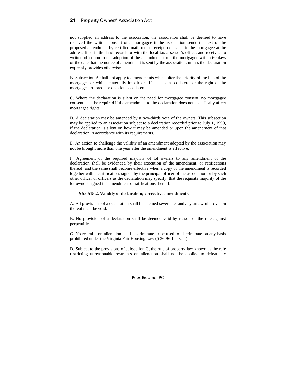not supplied an address to the association, the association shall be deemed to have received the written consent of a mortgagee if the association sends the text of the proposed amendment by certified mail, return receipt requested, to the mortgagee at the address filed in the land records or with the local tax assessor's office, and receives no written objection to the adoption of the amendment from the mortgagee within 60 days of the date that the notice of amendment is sent by the association, unless the declaration expressly provides otherwise.

B. Subsection A shall not apply to amendments which alter the priority of the lien of the mortgagee or which materially impair or affect a lot as collateral or the right of the mortgagee to foreclose on a lot as collateral.

C. Where the declaration is silent on the need for mortgagee consent, no mortgagee consent shall be required if the amendment to the declaration does not specifically affect mortgagee rights.

D. A declaration may be amended by a two-thirds vote of the owners. This subsection may be applied to an association subject to a declaration recorded prior to July 1, 1999, if the declaration is silent on how it may be amended or upon the amendment of that declaration in accordance with its requirements.

E. An action to challenge the validity of an amendment adopted by the association may not be brought more than one year after the amendment is effective.

F. Agreement of the required majority of lot owners to any amendment of the declaration shall be evidenced by their execution of the amendment, or ratifications thereof, and the same shall become effective when a copy of the amendment is recorded together with a certification, signed by the principal officer of the association or by such other officer or officers as the declaration may specify, that the requisite majority of the lot owners signed the amendment or ratifications thereof.

#### **§ 55-515.2. Validity of declaration; corrective amendments.**

A. All provisions of a declaration shall be deemed severable, and any unlawful provision thereof shall be void.

B. No provision of a declaration shall be deemed void by reason of the rule against perpetuities.

C. No restraint on alienation shall discriminate or be used to discriminate on any basis prohibited under the Virginia Fair Housing Law (§ 36-96.1 et seq.).

D. Subject to the provisions of subsection C, the rule of property law known as the rule restricting unreasonable restraints on alienation shall not be applied to defeat any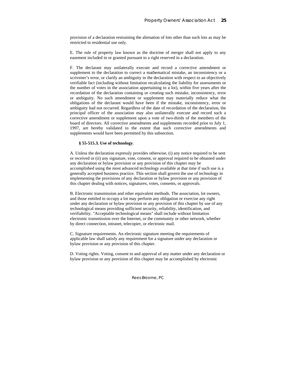provision of a declaration restraining the alienation of lots other than such lots as may be restricted to residential use only.

E. The rule of property law known as the doctrine of merger shall not apply to any easement included in or granted pursuant to a right reserved in a declaration.

F. The declarant may unilaterally execute and record a corrective amendment or supplement to the declaration to correct a mathematical mistake, an inconsistency or a scrivener's error, or clarify an ambiguity in the declaration with respect to an objectively verifiable fact (including without limitation recalculating the liability for assessments or the number of votes in the association appertaining to a lot), within five years after the recordation of the declaration containing or creating such mistake, inconsistency, error or ambiguity. No such amendment or supplement may materially reduce what the obligations of the declarant would have been if the mistake, inconsistency, error or ambiguity had not occurred. Regardless of the date of recordation of the declaration, the principal officer of the association may also unilaterally execute and record such a corrective amendment or supplement upon a vote of two-thirds of the members of the board of directors. All corrective amendments and supplements recorded prior to July 1, 1997, are hereby validated to the extent that such corrective amendments and supplements would have been permitted by this subsection.

### **§ 55-515.3. Use of technology**.

A. Unless the declaration expressly provides otherwise, (i) any notice required to be sent or received or (ii) any signature, vote, consent, or approval required to be obtained under any declaration or bylaw provision or any provision of this chapter may be accomplished using the most advanced technology available at that time if such use is a generally accepted business practice. This section shall govern the use of technology in implementing the provisions of any declaration or bylaw provision or any provision of this chapter dealing with notices, signatures, votes, consents, or approvals.

B. Electronic transmission and other equivalent methods. The association, lot owners, and those entitled to occupy a lot may perform any obligation or exercise any right under any declaration or bylaw provision or any provision of this chapter by use of any technological means providing sufficient security, reliability, identification, and verifiability. "Acceptable technological means" shall include without limitation electronic transmission over the Internet, or the community or other network, whether by direct connection, intranet, telecopier, or electronic mail.

C. Signature requirements. An electronic signature meeting the requirements of applicable law shall satisfy any requirement for a signature under any declaration or bylaw provision or any provision of this chapter.

D. Voting rights. Voting, consent to and approval of any matter under any declaration or bylaw provision or any provision of this chapter may be accomplished by electronic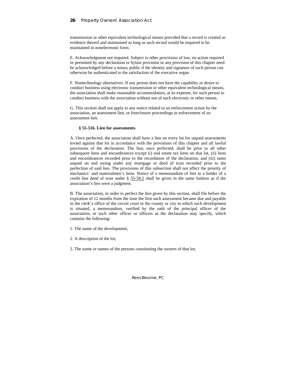transmission or other equivalent technological means provided that a record is created as evidence thereof and maintained as long as such record would be required to be maintained in nonelectronic form.

E. Acknowledgment not required. Subject to other provisions of law, no action required or permitted by any declaration or bylaw provision or any provision of this chapter need be acknowledged before a notary public if the identity and signature of such person can otherwise be authenticated to the satisfaction of the executive organ.

F. Nontechnology alternatives. If any person does not have the capability or desire to conduct business using electronic transmission or other equivalent technological means, the association shall make reasonable accommodation, at its expense, for such person to conduct business with the association without use of such electronic or other means.

G. This section shall not apply to any notice related to an enforcement action by the association, an assessment lien, or foreclosure proceedings in enforcement of an assessment lien.

#### **§ 55-516. Lien for assessments**.

A. Once perfected, the association shall have a lien on every lot for unpaid assessments levied against that lot in accordance with the provisions of this chapter and all lawful provisions of the declaration. The lien, once perfected, shall be prior to all other subsequent liens and encumbrances except (i) real estate tax liens on that lot, (ii) liens and encumbrances recorded prior to the recordation of the declaration, and (iii) sums unpaid on and owing under any mortgage or deed of trust recorded prior to the perfection of said lien. The provisions of this subsection shall not affect the priority of mechanics' and materialmen's liens. Notice of a memorandum of lien to a holder of a credit line deed of trust under § 55-58.2 shall be given in the same fashion as if the association's lien were a judgment.

B. The association, in order to perfect the lien given by this section, shall file before the expiration of 12 months from the time the first such assessment became due and payable in the clerk's office of the circuit court in the county or city in which such development is situated, a memorandum, verified by the oath of the principal officer of the association, or such other officer or officers as the declaration may specify, which contains the following:

- 1. The name of the development;
- 2. A description of the lot;
- 3. The name or names of the persons constituting the owners of that lot;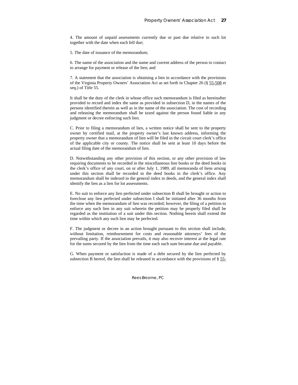4. The amount of unpaid assessments currently due or past due relative to such lot together with the date when each fell due;

5. The date of issuance of the memorandum;

6. The name of the association and the name and current address of the person to contact to arrange for payment or release of the lien; and

7. A statement that the association is obtaining a lien in accordance with the provisions of the Virginia Property Owners' Association Act as set forth in Chapter 26 (§ 55-508 et seq.) of Title 55.

It shall be the duty of the clerk in whose office such memorandum is filed as hereinafter provided to record and index the same as provided in subsection D, in the names of the persons identified therein as well as in the name of the association. The cost of recording and releasing the memorandum shall be taxed against the person found liable in any judgment or decree enforcing such lien.

C. Prior to filing a memorandum of lien, a written notice shall be sent to the property owner by certified mail, at the property owner's last known address, informing the property owner that a memorandum of lien will be filed in the circuit court clerk's office of the applicable city or county. The notice shall be sent at least 10 days before the actual filing date of the memorandum of lien.

D. Notwithstanding any other provision of this section, or any other provision of law requiring documents to be recorded in the miscellaneous lien books or the deed books in the clerk's office of any court, on or after July 1, 1989, all memoranda of liens arising under this section shall be recorded in the deed books in the clerk's office. Any memorandum shall be indexed in the general index to deeds, and the general index shall identify the lien as a lien for lot assessments.

E. No suit to enforce any lien perfected under subsection B shall be brought or action to foreclose any lien perfected under subsection I shall be initiated after 36 months from the time when the memorandum of lien was recorded; however, the filing of a petition to enforce any such lien in any suit wherein the petition may be properly filed shall be regarded as the institution of a suit under this section. Nothing herein shall extend the time within which any such lien may be perfected.

F. The judgment or decree in an action brought pursuant to this section shall include, without limitation, reimbursement for costs and reasonable attorneys' fees of the prevailing party. If the association prevails, it may also recover interest at the legal rate for the sums secured by the lien from the time each such sum became due and payable.

G. When payment or satisfaction is made of a debt secured by the lien perfected by subsection B hereof, the lien shall be released in accordance with the provisions of  $\S 55$ -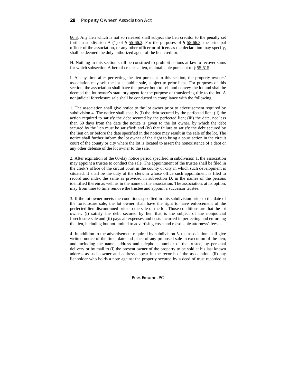66.3. Any lien which is not so released shall subject the lien creditor to the penalty set forth in subdivision A (1) of  $\S$  55-66.3. For the purposes of  $\S$  55-66.3, the principal officer of the association, or any other officer or officers as the declaration may specify, shall be deemed the duly authorized agent of the lien creditor.

H. Nothing in this section shall be construed to prohibit actions at law to recover sums for which subsection A hereof creates a lien, maintainable pursuant to  $\S$  55-515.

I. At any time after perfecting the lien pursuant to this section, the property owners' association may sell the lot at public sale, subject to prior liens. For purposes of this section, the association shall have the power both to sell and convey the lot and shall be deemed the lot owner's statutory agent for the purpose of transferring title to the lot. A nonjudicial foreclosure sale shall be conducted in compliance with the following:

1. The association shall give notice to the lot owner prior to advertisement required by subdivision 4. The notice shall specify (i) the debt secured by the perfected lien; (ii) the action required to satisfy the debt secured by the perfected lien; (iii) the date, not less than 60 days from the date the notice is given to the lot owner, by which the debt secured by the lien must be satisfied; and (iv) that failure to satisfy the debt secured by the lien on or before the date specified in the notice may result in the sale of the lot. The notice shall further inform the lot owner of the right to bring a court action in the circuit court of the county or city where the lot is located to assert the nonexistence of a debt or any other defense of the lot owner to the sale.

2. After expiration of the 60-day notice period specified in subdivision 1, the association may appoint a trustee to conduct the sale. The appointment of the trustee shall be filed in the clerk's office of the circuit court in the county or city in which such development is situated. It shall be the duty of the clerk in whose office such appointment is filed to record and index the same as provided in subsection D, in the names of the persons identified therein as well as in the name of the association. The association, at its option, may from time to time remove the trustee and appoint a successor trustee.

3. If the lot owner meets the conditions specified in this subdivision prior to the date of the foreclosure sale, the lot owner shall have the right to have enforcement of the perfected lien discontinued prior to the sale of the lot. Those conditions are that the lot owner: (i) satisfy the debt secured by lien that is the subject of the nonjudicial foreclosure sale and (ii) pays all expenses and costs incurred in perfecting and enforcing the lien, including but not limited to advertising costs and reasonable attorneys' fees.

4. In addition to the advertisement required by subdivision 5, the association shall give written notice of the time, date and place of any proposed sale in execution of the lien, and including the name, address and telephone number of the trustee, by personal delivery or by mail to (i) the present owner of the property to be sold at his last known address as such owner and address appear in the records of the association, (ii) any lienholder who holds a note against the property secured by a deed of trust recorded at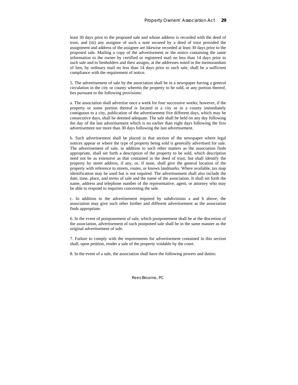least 30 days prior to the proposed sale and whose address is recorded with the deed of trust, and (iii) any assignee of such a note secured by a deed of trust provided the assignment and address of the assignee are likewise recorded at least 30 days prior to the proposed sale. Mailing a copy of the advertisement or the notice containing the same information to the owner by certified or registered mail no less than 14 days prior to such sale and to lienholders and their assigns, at the addresses noted in the memorandum of lien, by ordinary mail no less than 14 days prior to such sale, shall be a sufficient compliance with the requirement of notice.

5. The advertisement of sale by the association shall be in a newspaper having a general circulation in the city or county wherein the property to be sold, or any portion thereof, lies pursuant to the following provisions:

a. The association shall advertise once a week for four successive weeks; however, if the property or some portion thereof is located in a city or in a county immediately contiguous to a city, publication of the advertisement five different days, which may be consecutive days, shall be deemed adequate. The sale shall be held on any day following the day of the last advertisement which is no earlier than eight days following the first advertisement nor more than 30 days following the last advertisement.

b. Such advertisement shall be placed in that section of the newspaper where legal notices appear or where the type of property being sold is generally advertised for sale. The advertisement of sale, in addition to such other matters as the association finds appropriate, shall set forth a description of the property to be sold, which description need not be as extensive as that contained in the deed of trust, but shall identify the property by street address, if any, or, if none, shall give the general location of the property with reference to streets, routes, or known landmarks. Where available, tax map identification may be used but is not required. The advertisement shall also include the date, time, place, and terms of sale and the name of the association. It shall set forth the name, address and telephone number of the representative, agent, or attorney who may be able to respond to inquiries concerning the sale.

c. In addition to the advertisement required by subdivisions a and b above, the association may give such other further and different advertisement as the association finds appropriate.

6. In the event of postponement of sale, which postponement shall be at the discretion of the association, advertisement of such postponed sale shall be in the same manner as the original advertisement of sale.

7. Failure to comply with the requirements for advertisement contained in this section shall, upon petition, render a sale of the property voidable by the court.

8. In the event of a sale, the association shall have the following powers and duties: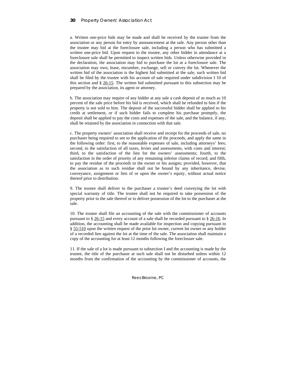a. Written one-price bids may be made and shall be received by the trustee from the association or any person for entry by announcement at the sale. Any person other than the trustee may bid at the foreclosure sale, including a person who has submitted a written one-price bid. Upon request to the trustee, any other bidder in attendance at a foreclosure sale shall be permitted to inspect written bids. Unless otherwise provided in the declaration, the association may bid to purchase the lot at a foreclosure sale. The association may own, lease, encumber, exchange, sell or convey the lot. Whenever the written bid of the association is the highest bid submitted at the sale, such written bid shall be filed by the trustee with his account of sale required under subdivision I 10 of this section and § 26-15. The written bid submitted pursuant to this subsection may be prepared by the association, its agent or attorney.

b. The association may require of any bidder at any sale a cash deposit of as much as 10 percent of the sale price before his bid is received, which shall be refunded to him if the property is not sold to him. The deposit of the successful bidder shall be applied to his credit at settlement, or if such bidder fails to complete his purchase promptly, the deposit shall be applied to pay the costs and expenses of the sale, and the balance, if any, shall be retained by the association in connection with that sale.

c. The property owners' association shall receive and receipt for the proceeds of sale, no purchaser being required to see to the application of the proceeds, and apply the same in the following order: first, to the reasonable expenses of sale, including attorneys' fees; second, to the satisfaction of all taxes, levies and assessments, with costs and interest; third, to the satisfaction of the lien for the owners' assessments; fourth, to the satisfaction in the order of priority of any remaining inferior claims of record; and fifth, to pay the residue of the proceeds to the owner or his assigns; provided, however, that the association as to such residue shall not be bound by any inheritance, devise, conveyance, assignment or lien of or upon the owner's equity, without actual notice thereof prior to distribution.

9. The trustee shall deliver to the purchaser a trustee's deed conveying the lot with special warranty of title. The trustee shall not be required to take possession of the property prior to the sale thereof or to deliver possession of the lot to the purchaser at the sale.

10. The trustee shall file an accounting of the sale with the commissioner of accounts pursuant to § 26-15 and every account of a sale shall be recorded pursuant to § 26-16. In addition, the accounting shall be made available for inspection and copying pursuant to § 55-510 upon the written request of the prior lot owner, current lot owner or any holder of a recorded lien against the lot at the time of the sale. The association shall maintain a copy of the accounting for at least 12 months following the foreclosure sale.

11. If the sale of a lot is made pursuant to subsection I and the accounting is made by the trustee, the title of the purchaser at such sale shall not be disturbed unless within 12 months from the confirmation of the accounting by the commissioner of accounts, the